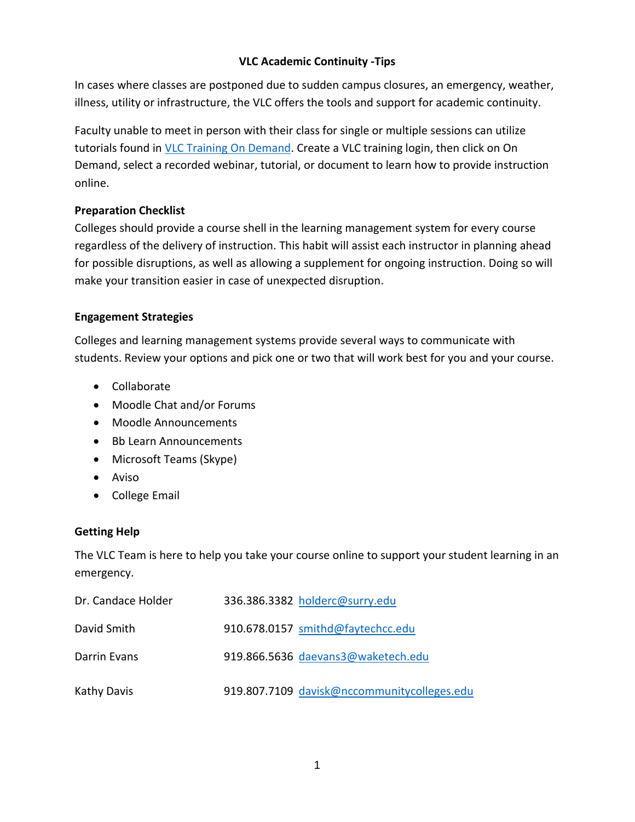## **VLC Academic Continuity -Tips**

In cases where classes are postponed due to sudden campus closures, an emergency, weather, illness, utility or infrastructure, the VLC offers the tools and support for academic continuity.

Faculty unable to meet in person with their class for single or multiple sessions can utilize tutorials found in [VLC Training](https://vlc.configio.com/ShoppingCart.aspx?com=productlist&m=0) On Demand. Create a VLC training login, then click on On Demand, select a recorded webinar, tutorial, or document to learn how to provide instruction online.

# **Preparation Checklist**

Colleges should provide a course shell in the learning management system for every course regardless of the delivery of instruction. This habit will assist each instructor in planning ahead for possible disruptions, as well as allowing a supplement for ongoing instruction. Doing so will make your transition easier in case of unexpected disruption.

# **Engagement Strategies**

Colleges and learning management systems provide several ways to communicate with students. Review your options and pick one or two that will work best for you and your course.

- Collaborate
- Moodle Chat and/or Forums
- Moodle Announcements
- Bb Learn Announcements
- Microsoft Teams (Skype)
- Aviso
- College Email

# **Getting Help**

The VLC Team is here to help you take your course online to support your student learning in an emergency.

| Dr. Candace Holder | 336.386.3382 holderc@surry.edu              |
|--------------------|---------------------------------------------|
| David Smith        | 910.678.0157 smithd@faytechcc.edu           |
| Darrin Evans       | 919.866.5636 daevans3@waketech.edu          |
| Kathy Davis        | 919.807.7109 davisk@nccommunitycolleges.edu |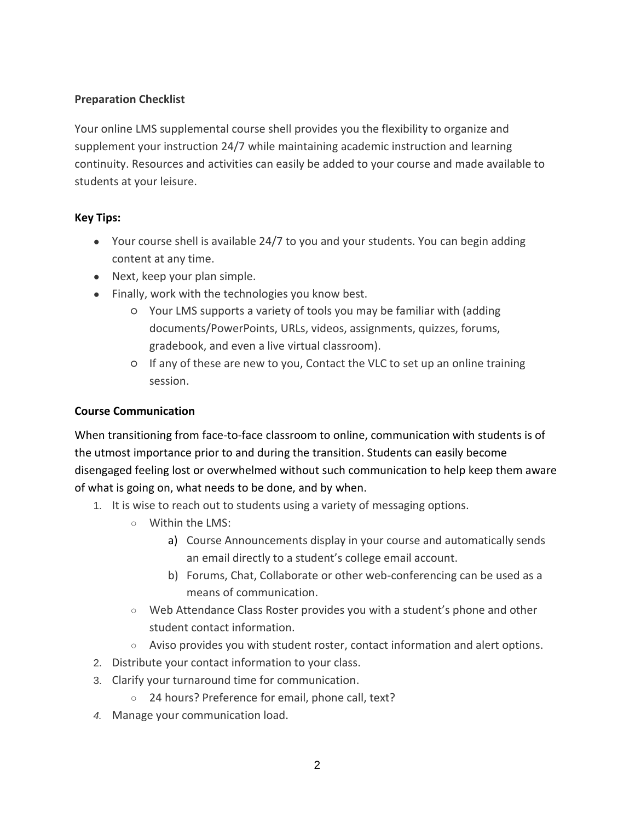# **Preparation Checklist**

Your online LMS supplemental course shell provides you the flexibility to organize and supplement your instruction 24/7 while maintaining academic instruction and learning continuity. Resources and activities can easily be added to your course and made available to students at your leisure.

## **Key Tips:**

- Your course shell is available 24/7 to you and your students. You can begin adding content at any time.
- Next, keep your plan simple.
- Finally, work with the technologies you know best.
	- Your LMS supports a variety of tools you may be familiar with (adding documents/PowerPoints, URLs, videos, assignments, quizzes, forums, gradebook, and even a live virtual classroom).
	- If any of these are new to you, Contact the VLC to set up an online training session.

# **Course Communication**

When transitioning from face-to-face classroom to online, communication with students is of the utmost importance prior to and during the transition. Students can easily become disengaged feeling lost or overwhelmed without such communication to help keep them aware of what is going on, what needs to be done, and by when.

- 1. It is wise to reach out to students using a variety of messaging options.
	- Within the LMS:
		- a) Course Announcements display in your course and automatically sends an email directly to a student's college email account.
		- b) Forums, Chat, Collaborate or other web-conferencing can be used as a means of communication.
	- Web Attendance Class Roster provides you with a student's phone and other student contact information.
	- Aviso provides you with student roster, contact information and alert options.
- 2. Distribute your contact information to your class.
- 3. Clarify your turnaround time for communication.
	- 24 hours? Preference for email, phone call, text?
- *4.* Manage your communication load.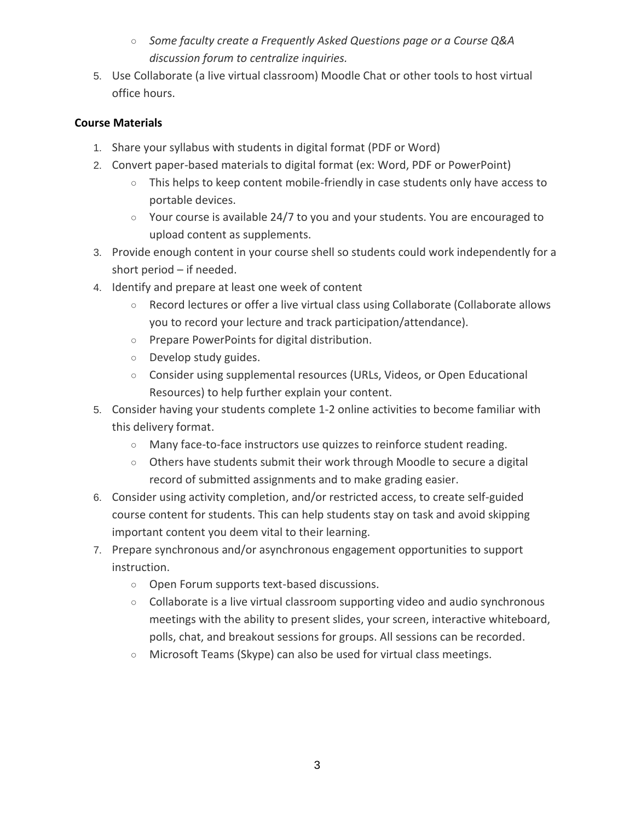- *Some faculty create a Frequently Asked Questions page or a Course Q&A discussion forum to centralize inquiries.*
- 5. Use Collaborate (a live virtual classroom) Moodle Chat or other tools to host virtual office hours.

# **Course Materials**

- 1. Share your syllabus with students in digital format (PDF or Word)
- 2. Convert paper-based materials to digital format (ex: Word, PDF or PowerPoint)
	- This helps to keep content mobile-friendly in case students only have access to portable devices.
	- $\circ$  Your course is available 24/7 to you and your students. You are encouraged to upload content as supplements.
- 3. Provide enough content in your course shell so students could work independently for a short period – if needed.
- 4. Identify and prepare at least one week of content
	- Record lectures or offer a live virtual class using Collaborate (Collaborate allows you to record your lecture and track participation/attendance).
	- Prepare PowerPoints for digital distribution.
	- Develop study guides.
	- Consider using supplemental resources (URLs, Videos, or Open Educational Resources) to help further explain your content.
- 5. Consider having your students complete 1-2 online activities to become familiar with this delivery format.
	- Many face-to-face instructors use quizzes to reinforce student reading.
	- Others have students submit their work through Moodle to secure a digital record of submitted assignments and to make grading easier.
- 6. Consider using activity completion, and/or restricted access, to create self-guided course content for students. This can help students stay on task and avoid skipping important content you deem vital to their learning.
- 7. Prepare synchronous and/or asynchronous engagement opportunities to support instruction.
	- Open Forum supports text-based discussions.
	- $\circ$  Collaborate is a live virtual classroom supporting video and audio synchronous meetings with the ability to present slides, your screen, interactive whiteboard, polls, chat, and breakout sessions for groups. All sessions can be recorded.
	- Microsoft Teams (Skype) can also be used for virtual class meetings.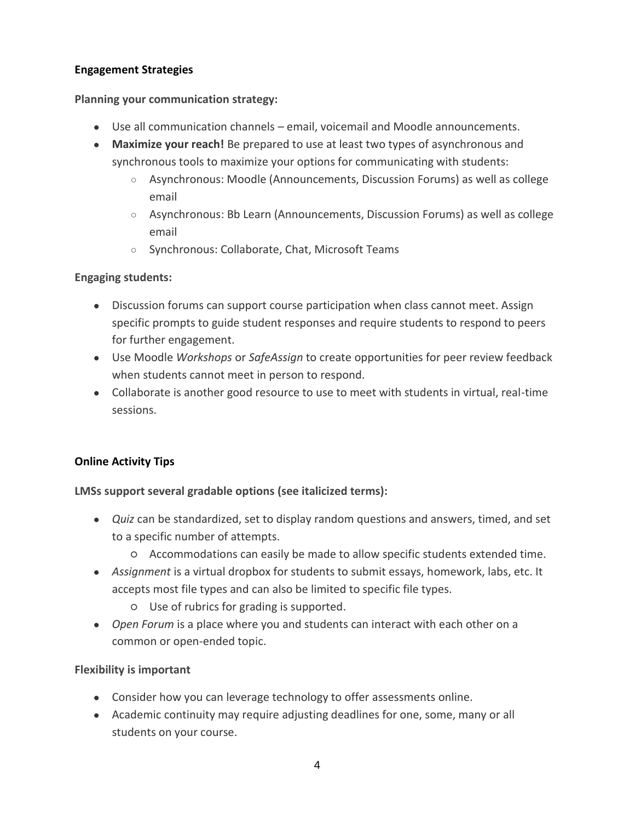### **Engagement Strategies**

#### **Planning your communication strategy:**

- Use all communication channels email, voicemail and Moodle announcements.
- **Maximize your reach!** Be prepared to use at least two types of asynchronous and synchronous tools to maximize your options for communicating with students:
	- Asynchronous: Moodle (Announcements, Discussion Forums) as well as college email
	- Asynchronous: Bb Learn (Announcements, Discussion Forums) as well as college email
	- Synchronous: Collaborate, Chat, Microsoft Teams

#### **Engaging students:**

- Discussion forums can support course participation when class cannot meet. Assign specific prompts to guide student responses and require students to respond to peers for further engagement.
- Use Moodle *Workshops* or *SafeAssign* to create opportunities for peer review feedback when students cannot meet in person to respond.
- Collaborate is another good resource to use to meet with students in virtual, real-time sessions.

## **Online Activity Tips**

**LMSs support several gradable options (see italicized terms):**

- *Quiz* can be standardized, set to display random questions and answers, timed, and set to a specific number of attempts.
	- Accommodations can easily be made to allow specific students extended time.
- *Assignment* is a virtual dropbox for students to submit essays, homework, labs, etc. It accepts most file types and can also be limited to specific file types.
	- Use of rubrics for grading is supported.
- *Open Forum* is a place where you and students can interact with each other on a common or open-ended topic.

#### **Flexibility is important**

- Consider how you can leverage technology to offer assessments online.
- Academic continuity may require adjusting deadlines for one, some, many or all students on your course.